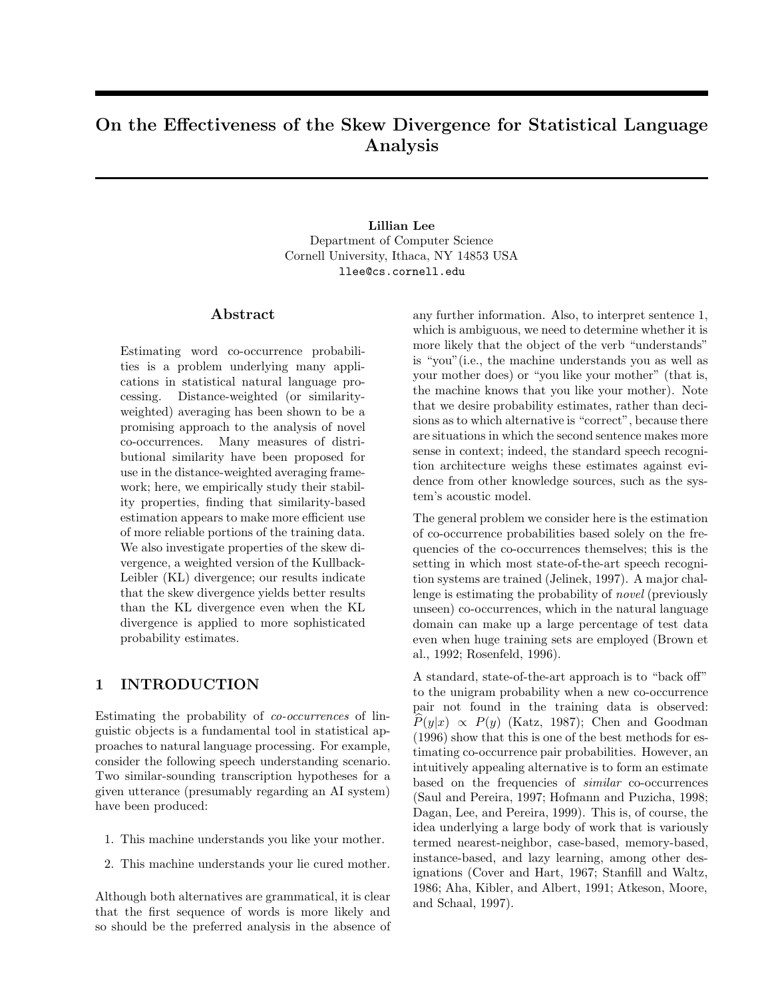# **On the Effectiveness of the Skew Divergence for Statistical Language Analysis**

## **Lillian Lee** Department of Computer Science Cornell University, Ithaca, NY 14853 USA llee@cs.cornell.edu

#### Abstract

Estimating word co-occurrence probabilities is a problem underlying many applications in statistical natural language processing. Distance-weighted (or similarityweighted) averaging has been shown to be a promising approach to the analysis of novel co-occurrences. Many measures of distributional similarity have been proposed for use in the distance-weighted averaging framework; here, we empirically study their stability properties, finding that similarity-based estimation appears to make more efficient use of more reliable portions of the training data. We also investigate properties of the skew divergence, a weighted version of the Kullback-Leibler (KL) divergence; our results indicate that the skew divergence yields better results than the KL divergence even when the KL divergence is applied to more sophisticated probability estimates.

## **1 INTRODUCTION**

Estimating the probability of *co-occurrences* of linguistic objects is a fundamental tool in statistical approaches to natural language processing. For example, consider the following speech understanding scenario. Two similar-sounding transcription hypotheses for a given utterance (presumably regarding an AI system) have been produced:

- 1. This machine understands you like your mother.
- 2. This machine understands your lie cured mother.

Although both alternatives are grammatical, it is clear that the first sequence of words is more likely and so should be the preferred analysis in the absence of

any further information. Also, to interpret sentence 1, which is ambiguous, we need to determine whether it is more likely that the object of the verb "understands" is "you"(i.e., the machine understands you as well as your mother does) or "you like your mother" (that is, the machine knows that you like your mother). Note that we desire probability estimates, rather than decisions as to which alternative is "correct", because there are situations in which the second sentence makes more sense in context; indeed, the standard speech recognition architecture weighs these estimates against evidence from other knowledge sources, such as the system's acoustic model.

The general problem we consider here is the estimation of co-occurrence probabilities based solely on the frequencies of the co-occurrences themselves; this is the setting in which most state-of-the-art speech recognition systems are trained (Jelinek, 1997). A major challenge is estimating the probability of *novel* (previously unseen) co-occurrences, which in the natural language domain can make up a large percentage of test data even when huge training sets are employed (Brown et al., 1992; Rosenfeld, 1996).

A standard, state-of-the-art approach is to "back off" to the unigram probability when a new co-occurrence pair not found in the training data is observed:  $P(y|x) \propto P(y)$  (Katz, 1987); Chen and Goodman (1996) show that this is one of the best methods for estimating co-occurrence pair probabilities. However, an intuitively appealing alternative is to form an estimate based on the frequencies of *similar* co-occurrences (Saul and Pereira, 1997; Hofmann and Puzicha, 1998; Dagan, Lee, and Pereira, 1999). This is, of course, the idea underlying a large body of work that is variously termed nearest-neighbor, case-based, memory-based, instance-based, and lazy learning, among other designations (Cover and Hart, 1967; Stanfill and Waltz, 1986; Aha, Kibler, and Albert, 1991; Atkeson, Moore, and Schaal, 1997).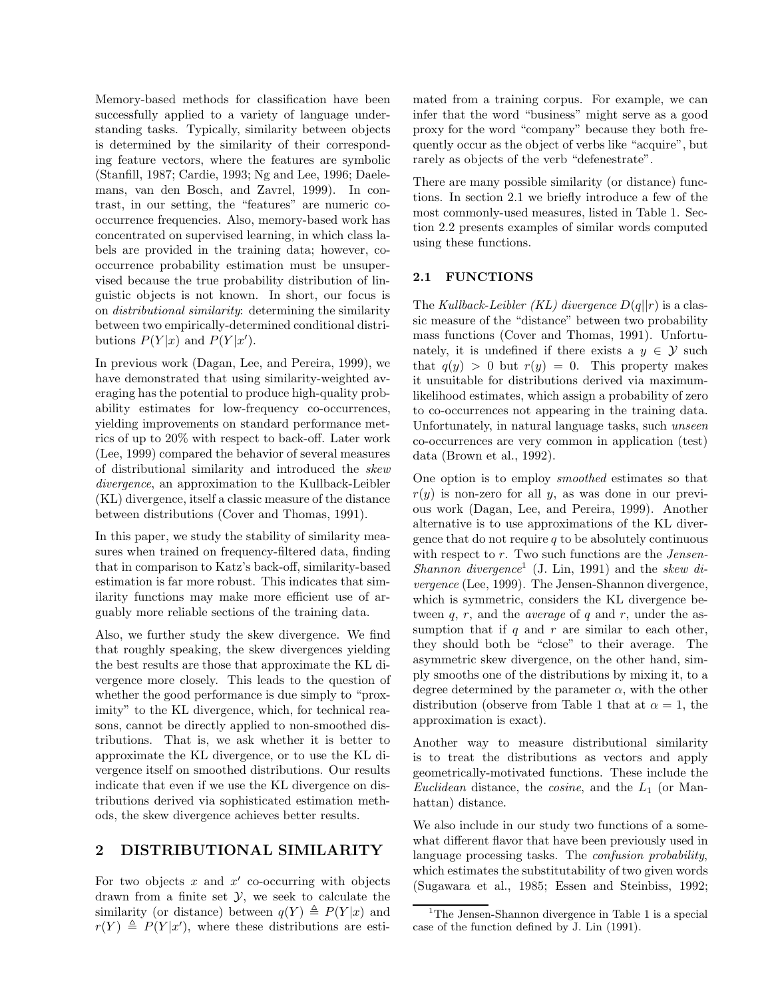Memory-based methods for classification have been successfully applied to a variety of language understanding tasks. Typically, similarity between objects is determined by the similarity of their corresponding feature vectors, where the features are symbolic (Stanfill, 1987; Cardie, 1993; Ng and Lee, 1996; Daelemans, van den Bosch, and Zavrel, 1999). In contrast, in our setting, the "features" are numeric cooccurrence frequencies. Also, memory-based work has concentrated on supervised learning, in which class labels are provided in the training data; however, cooccurrence probability estimation must be unsupervised because the true probability distribution of linguistic objects is not known. In short, our focus is on *distributional similarity*: determining the similarity between two empirically-determined conditional distributions  $P(Y|x)$  and  $P(Y|x')$ .

In previous work (Dagan, Lee, and Pereira, 1999), we have demonstrated that using similarity-weighted averaging has the potential to produce high-quality probability estimates for low-frequency co-occurrences, yielding improvements on standard performance metrics of up to 20% with respect to back-off. Later work (Lee, 1999) compared the behavior of several measures of distributional similarity and introduced the *skew divergence*, an approximation to the Kullback-Leibler (KL) divergence, itself a classic measure of the distance between distributions (Cover and Thomas, 1991).

In this paper, we study the stability of similarity measures when trained on frequency-filtered data, finding that in comparison to Katz's back-off, similarity-based estimation is far more robust. This indicates that similarity functions may make more efficient use of arguably more reliable sections of the training data.

Also, we further study the skew divergence. We find that roughly speaking, the skew divergences yielding the best results are those that approximate the KL divergence more closely. This leads to the question of whether the good performance is due simply to "proximity" to the KL divergence, which, for technical reasons, cannot be directly applied to non-smoothed distributions. That is, we ask whether it is better to approximate the KL divergence, or to use the KL divergence itself on smoothed distributions. Our results indicate that even if we use the KL divergence on distributions derived via sophisticated estimation methods, the skew divergence achieves better results.

# **2 DISTRIBUTIONAL SIMILARITY**

For two objects  $x$  and  $x'$  co-occurring with objects drawn from a finite set  $\mathcal{Y}$ , we seek to calculate the similarity (or distance) between  $q(Y) \triangleq P(Y | x)$  and  $r(Y) \triangleq P(Y | x')$ , where these distributions are estimated from a training corpus. For example, we can infer that the word "business" might serve as a good proxy for the word "company" because they both frequently occur as the object of verbs like "acquire", but rarely as objects of the verb "defenestrate".

There are many possible similarity (or distance) functions. In section 2.1 we briefly introduce a few of the most commonly-used measures, listed in Table 1. Section 2.2 presents examples of similar words computed using these functions.

## **2.1 FUNCTIONS**

The *Kullback-Leibler (KL) divergence* D(q||r) is a classic measure of the "distance" between two probability mass functions (Cover and Thomas, 1991). Unfortunately, it is undefined if there exists a  $y \in \mathcal{Y}$  such that  $q(y) > 0$  but  $r(y) = 0$ . This property makes it unsuitable for distributions derived via maximumlikelihood estimates, which assign a probability of zero to co-occurrences not appearing in the training data. Unfortunately, in natural language tasks, such *unseen* co-occurrences are very common in application (test) data (Brown et al., 1992).

One option is to employ *smoothed* estimates so that  $r(y)$  is non-zero for all y, as was done in our previous work (Dagan, Lee, and Pereira, 1999). Another alternative is to use approximations of the KL divergence that do not require  $q$  to be absolutely continuous with respect to r. Two such functions are the *Jensen-Shannon divergence*<sup>1</sup> (J. Lin, 1991) and the *skew divergence* (Lee, 1999). The Jensen-Shannon divergence, which is symmetric, considers the KL divergence between q, r, and the *average* of q and r, under the assumption that if  $q$  and  $r$  are similar to each other, they should both be "close" to their average. The asymmetric skew divergence, on the other hand, simply smooths one of the distributions by mixing it, to a degree determined by the parameter  $\alpha$ , with the other distribution (observe from Table 1 that at  $\alpha = 1$ , the approximation is exact).

Another way to measure distributional similarity is to treat the distributions as vectors and apply geometrically-motivated functions. These include the *Euclidean* distance, the *cosine*, and the <sup>L</sup><sup>1</sup> (or Manhattan) distance.

We also include in our study two functions of a somewhat different flavor that have been previously used in language processing tasks. The *confusion probability*, which estimates the substitutability of two given words (Sugawara et al., 1985; Essen and Steinbiss, 1992;

<sup>&</sup>lt;sup>1</sup>The Jensen-Shannon divergence in Table 1 is a special case of the function defined by J. Lin (1991).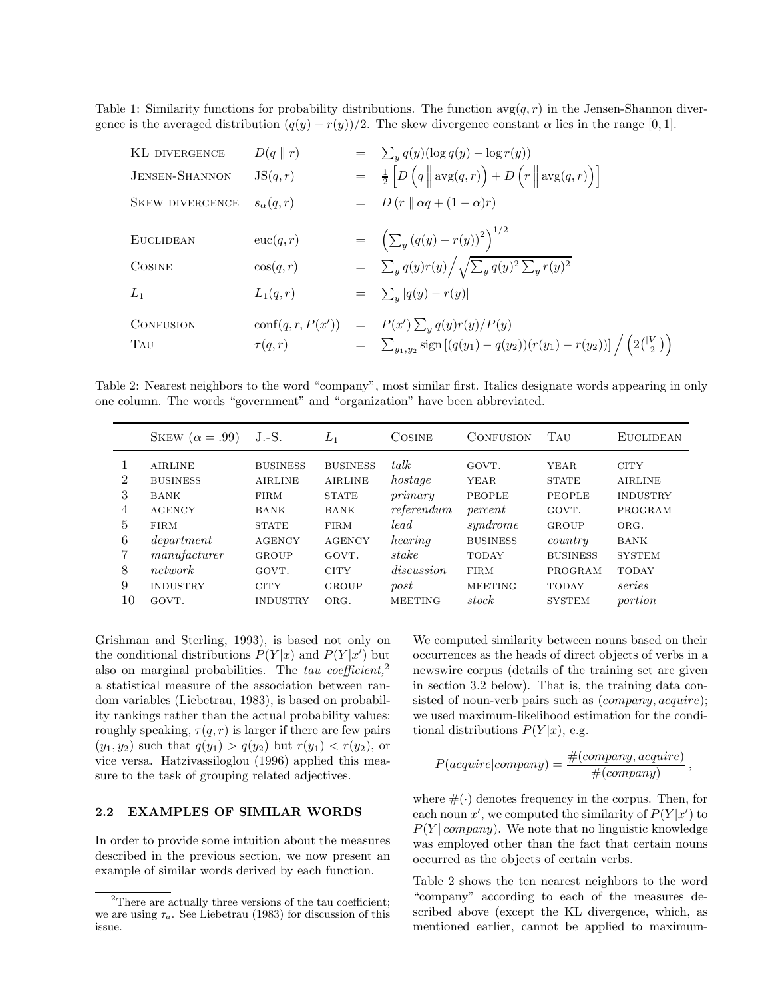Table 1: Similarity functions for probability distributions. The function  $\arg(q, r)$  in the Jensen-Shannon divergence is the averaged distribution  $(q(y) + r(y))/2$ . The skew divergence constant  $\alpha$  lies in the range [0, 1].

| KL DIVERGENCE           | $D(q \parallel r)$ | $= \sum_{y} q(y) (\log q(y) - \log r(y))$                                                                                                                  |
|-------------------------|--------------------|------------------------------------------------------------------------------------------------------------------------------------------------------------|
| <b>JENSEN-SHANNON</b>   | JS(q,r)            | $= \frac{1}{2} \left[ D\left( q \right\  \mathrm{avg}(q,r) \right) + D\left( r \right\  \mathrm{avg}(q,r) \right)$                                         |
| <b>SKEW DIVERGENCE</b>  | $s_{\alpha}(q,r)$  | $= D(r    \alpha q + (1 - \alpha)r)$                                                                                                                       |
| <b>EUCLIDEAN</b>        | euc(q,r)           | $= \left( \sum_{y} (q(y) - r(y))^{2} \right)^{1/2}$                                                                                                        |
| <b>COSINE</b>           | $\cos(q,r)$        | $= \sum_{y} q(y)r(y) / \sqrt{\sum_{y} q(y)^2 \sum_{y} r(y)^2}$                                                                                             |
| $L_1$                   | $L_1(q,r)$         | $= \sum_{y}  q(y) - r(y) $                                                                                                                                 |
| <b>CONFUSION</b><br>TAU | $\tau(q,r)$        | $\operatorname{conf}(q, r, P(x')) = P(x') \sum_{y} q(y)r(y)/P(y)$<br>= $\sum_{y_1, y_2}$ sign $[(q(y_1) - q(y_2))(r(y_1) - r(y_2))] / (2{\binom{ V }{2}})$ |

Table 2: Nearest neighbors to the word "company", most similar first. Italics designate words appearing in only one column. The words "government" and "organization" have been abbreviated.

|                          | SKEW $(\alpha = .99)$                                             | $J.-S.$                                                         | $L_1$                                                            | <b>COSINE</b>                               | <b>CONFUSION</b>                                 | TAU                                                   | <b>EUCLIDEAN</b>                                            |
|--------------------------|-------------------------------------------------------------------|-----------------------------------------------------------------|------------------------------------------------------------------|---------------------------------------------|--------------------------------------------------|-------------------------------------------------------|-------------------------------------------------------------|
| $\overline{2}$<br>3<br>4 | <b>AIRLINE</b><br><b>BUSINESS</b><br><b>BANK</b><br><b>AGENCY</b> | <b>BUSINESS</b><br><b>AIRLINE</b><br><b>FIRM</b><br><b>BANK</b> | <b>BUSINESS</b><br><b>AIRLINE</b><br><b>STATE</b><br><b>BANK</b> | $t$ alk<br>hostage<br>primary<br>referendum | GOVT.<br><b>YEAR</b><br><b>PEOPLE</b><br>percent | <b>YEAR</b><br><b>STATE</b><br><b>PEOPLE</b><br>GOVT. | <b>CITY</b><br><b>AIRLINE</b><br><b>INDUSTRY</b><br>PROGRAM |
| 5                        | <b>FIRM</b>                                                       | <b>STATE</b>                                                    | <b>FIRM</b>                                                      | lead                                        | syndrome                                         | <b>GROUP</b>                                          | ORG.                                                        |
| 6                        | department                                                        | <b>AGENCY</b>                                                   | <b>AGENCY</b>                                                    | hearing                                     | <b>BUSINESS</b>                                  | country                                               | <b>BANK</b>                                                 |
| 8                        | manufacturer                                                      | <b>GROUP</b>                                                    | GOVT.                                                            | stake                                       | <b>TODAY</b>                                     | <b>BUSINESS</b>                                       | <b>SYSTEM</b>                                               |
|                          | network                                                           | GOVT.                                                           | <b>CITY</b>                                                      | discussion                                  | FIRM                                             | PROGRAM                                               | <b>TODAY</b>                                                |
| 9                        | <b>INDUSTRY</b>                                                   | <b>CITY</b>                                                     | <b>GROUP</b>                                                     | post                                        | <b>MEETING</b>                                   | <b>TODAY</b>                                          | series                                                      |
| 10                       | GOVT.                                                             | <b>INDUSTRY</b>                                                 | ORG.                                                             | <b>MEETING</b>                              | stock                                            | <b>SYSTEM</b>                                         | portion                                                     |

Grishman and Sterling, 1993), is based not only on the conditional distributions  $P(Y|x)$  and  $P(Y|x')$  but<br>also on marginal probabilities. The *tay coefficient* <sup>2</sup> also on marginal probabilities. The *tau coefficient,*<sup>2</sup> a statistical measure of the association between random variables (Liebetrau, 1983), is based on probability rankings rather than the actual probability values: roughly speaking,  $\tau(q, r)$  is larger if there are few pairs  $(y_1, y_2)$  such that  $q(y_1) > q(y_2)$  but  $r(y_1) < r(y_2)$ , or vice versa. Hatzivassiloglou (1996) applied this measure to the task of grouping related adjectives.

#### **2.2 EXAMPLES OF SIMILAR WORDS**

In order to provide some intuition about the measures described in the previous section, we now present an example of similar words derived by each function.

We computed similarity between nouns based on their occurrences as the heads of direct objects of verbs in a newswire corpus (details of the training set are given in section 3.2 below). That is, the training data consisted of noun-verb pairs such as  $(company, acquire);$ we used maximum-likelihood estimation for the conditional distributions  $P(Y|x)$ , e.g.

$$
P(acquire|company) = \frac{\#(company, acquire)}{\#(company)} ,
$$

where  $\#(\cdot)$  denotes frequency in the corpus. Then, for each noun x', we computed the similarity of  $P(Y|x')$  to  $P(Y \mid \text{common})$ . We note that no linguistic knowledge  $P(Y | company)$ . We note that no linguistic knowledge was employed other than the fact that certain nouns occurred as the objects of certain verbs.

Table 2 shows the ten nearest neighbors to the word "company" according to each of the measures described above (except the KL divergence, which, as mentioned earlier, cannot be applied to maximum-

<sup>&</sup>lt;sup>2</sup>There are actually three versions of the tau coefficient; we are using  $\tau_a$ . See Liebetrau (1983) for discussion of this issue.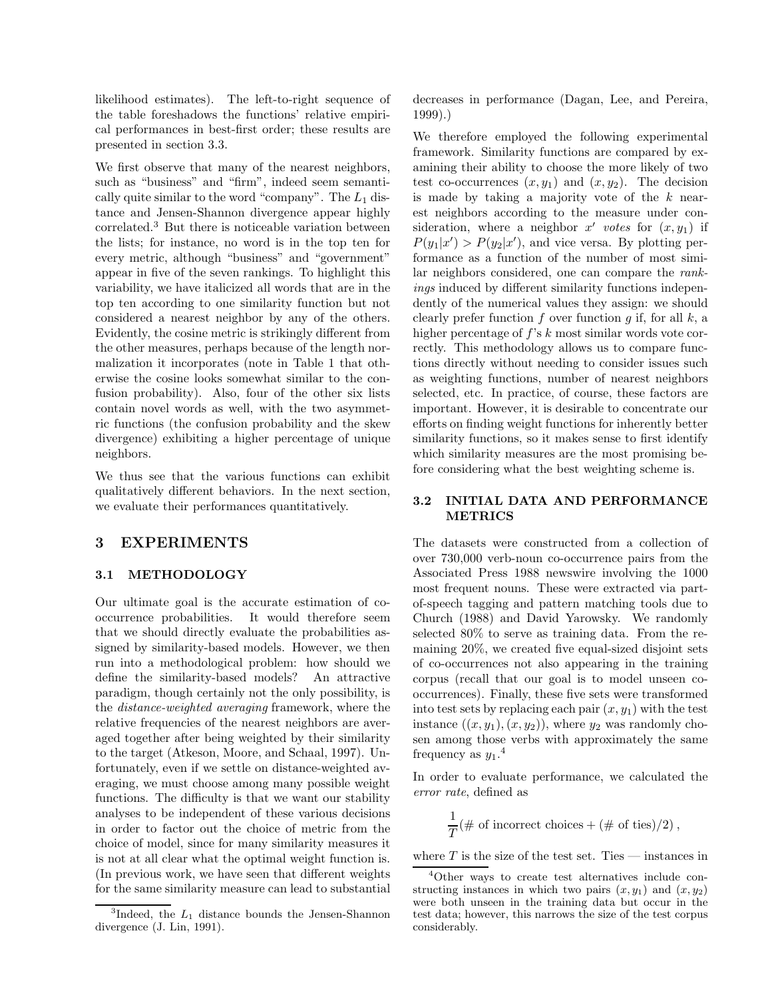likelihood estimates). The left-to-right sequence of the table foreshadows the functions' relative empirical performances in best-first order; these results are presented in section 3.3.

We first observe that many of the nearest neighbors, such as "business" and "firm", indeed seem semantically quite similar to the word "company". The  $L_1$  distance and Jensen-Shannon divergence appear highly correlated.<sup>3</sup> But there is noticeable variation between the lists; for instance, no word is in the top ten for every metric, although "business" and "government" appear in five of the seven rankings. To highlight this variability, we have italicized all words that are in the top ten according to one similarity function but not considered a nearest neighbor by any of the others. Evidently, the cosine metric is strikingly different from the other measures, perhaps because of the length normalization it incorporates (note in Table 1 that otherwise the cosine looks somewhat similar to the confusion probability). Also, four of the other six lists contain novel words as well, with the two asymmetric functions (the confusion probability and the skew divergence) exhibiting a higher percentage of unique neighbors.

We thus see that the various functions can exhibit qualitatively different behaviors. In the next section, we evaluate their performances quantitatively.

## **3** Experiments of the second second second second second second second second second second second second second second second second second second second second second second second second second second second second sec

## **3.1 METHODOLOGY**

Our ultimate goal is the accurate estimation of cooccurrence probabilities. It would therefore seem that we should directly evaluate the probabilities assigned by similarity-based models. However, we then run into a methodological problem: how should we define the similarity-based models? An attractive paradigm, though certainly not the only possibility, is the *distance-weighted averaging* framework, where the relative frequencies of the nearest neighbors are averaged together after being weighted by their similarity to the target (Atkeson, Moore, and Schaal, 1997). Unfortunately, even if we settle on distance-weighted averaging, we must choose among many possible weight functions. The difficulty is that we want our stability analyses to be independent of these various decisions in order to factor out the choice of metric from the choice of model, since for many similarity measures it is not at all clear what the optimal weight function is. (In previous work, we have seen that different weights for the same similarity measure can lead to substantial decreases in performance (Dagan, Lee, and Pereira, 1999).)

We therefore employed the following experimental framework. Similarity functions are compared by examining their ability to choose the more likely of two test co-occurrences  $(x, y_1)$  and  $(x, y_2)$ . The decision is made by taking a majority vote of the  $k$  nearest neighbors according to the measure under consideration, where a neighbor  $x'$  votes for  $(x, y_1)$  if  $P(y_1|x') > P(y_2|x')$ , and vice versa. By plotting per-<br>formance as a function of the number of most simiformance as a function of the number of most similar neighbors considered, one can compare the *rankings* induced by different similarity functions independently of the numerical values they assign: we should clearly prefer function f over function g if, for all  $k$ , a higher percentage of  $f$ 's  $k$  most similar words vote correctly. This methodology allows us to compare functions directly without needing to consider issues such as weighting functions, number of nearest neighbors selected, etc. In practice, of course, these factors are important. However, it is desirable to concentrate our efforts on finding weight functions for inherently better similarity functions, so it makes sense to first identify which similarity measures are the most promising before considering what the best weighting scheme is.

### **3.2 INITIAL DATA AND PERFORMANCE METRICS**

The datasets were constructed from a collection of over 730,000 verb-noun co-occurrence pairs from the Associated Press 1988 newswire involving the 1000 most frequent nouns. These were extracted via partof-speech tagging and pattern matching tools due to Church (1988) and David Yarowsky. We randomly selected 80% to serve as training data. From the remaining 20%, we created five equal-sized disjoint sets of co-occurrences not also appearing in the training corpus (recall that our goal is to model unseen cooccurrences). Finally, these five sets were transformed into test sets by replacing each pair  $(x, y_1)$  with the test instance  $((x, y_1), (x, y_2))$ , where  $y_2$  was randomly chosen among those verbs with approximately the same frequency as  $y_1$ <sup>4</sup>

In order to evaluate performance, we calculated the *error rate*, defined as

$$
\frac{1}{T}(\# \text{ of incorrect choices} + (\# \text{ of ties})/2),
$$

where  $T$  is the size of the test set. Ties — instances in

<sup>&</sup>lt;sup>3</sup>Indeed, the  $L_1$  distance bounds the Jensen-Shannon divergence (J. Lin, 1991).

<sup>4</sup>Other ways to create test alternatives include constructing instances in which two pairs  $(x, y_1)$  and  $(x, y_2)$ were both unseen in the training data but occur in the test data; however, this narrows the size of the test corpus considerably.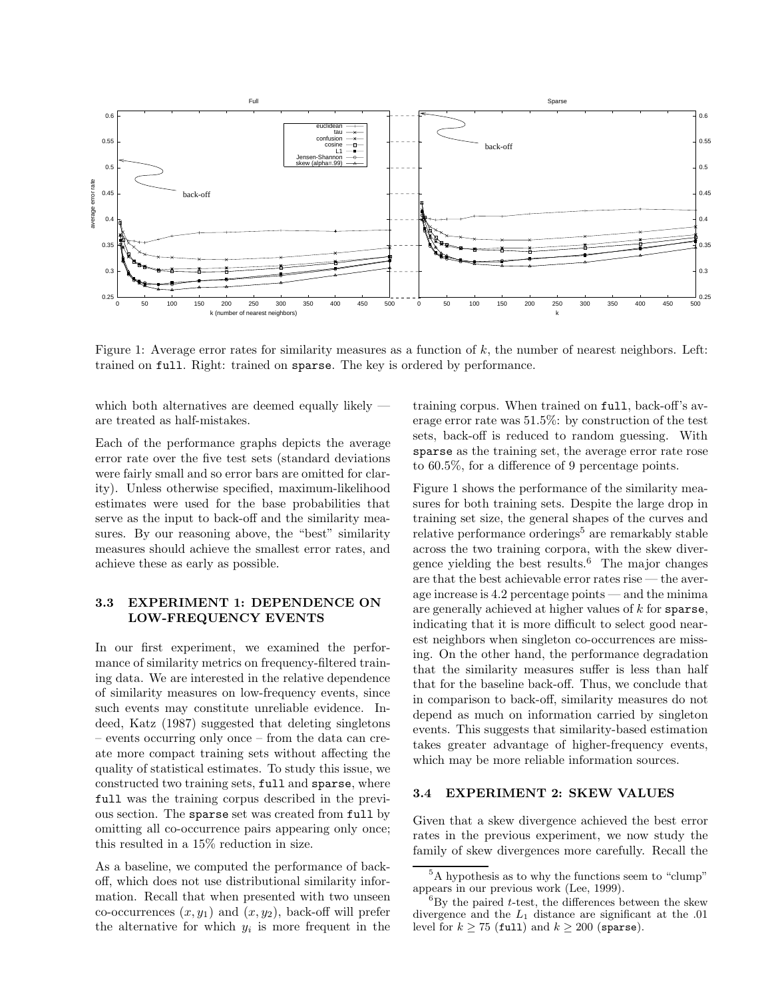

Figure 1: Average error rates for similarity measures as a function of  $k$ , the number of nearest neighbors. Left: trained on full. Right: trained on sparse. The key is ordered by performance.

which both alternatives are deemed equally likely are treated as half-mistakes.

Each of the performance graphs depicts the average error rate over the five test sets (standard deviations were fairly small and so error bars are omitted for clarity). Unless otherwise specified, maximum-likelihood estimates were used for the base probabilities that serve as the input to back-off and the similarity measures. By our reasoning above, the "best" similarity measures should achieve the smallest error rates, and achieve these as early as possible.

## **3.3 EXPERIMENT 1: DEPENDENCE ON LOW-FREQUENCY EVENTS**

In our first experiment, we examined the performance of similarity metrics on frequency-filtered training data. We are interested in the relative dependence of similarity measures on low-frequency events, since such events may constitute unreliable evidence. Indeed, Katz (1987) suggested that deleting singletons – events occurring only once – from the data can create more compact training sets without affecting the quality of statistical estimates. To study this issue, we constructed two training sets, full and sparse, where full was the training corpus described in the previous section. The sparse set was created from full by omitting all co-occurrence pairs appearing only once; this resulted in a 15% reduction in size.

As a baseline, we computed the performance of backoff, which does not use distributional similarity information. Recall that when presented with two unseen co-occurrences  $(x, y_1)$  and  $(x, y_2)$ , back-off will prefer the alternative for which  $y_i$  is more frequent in the

training corpus. When trained on full, back-off's average error rate was 51.5%: by construction of the test sets, back-off is reduced to random guessing. With sparse as the training set, the average error rate rose to 60.5%, for a difference of 9 percentage points.

Figure 1 shows the performance of the similarity measures for both training sets. Despite the large drop in training set size, the general shapes of the curves and relative performance orderings<sup>5</sup> are remarkably stable across the two training corpora, with the skew divergence yielding the best results.<sup>6</sup> The major changes are that the best achievable error rates rise — the average increase is 4.2 percentage points — and the minima are generally achieved at higher values of k for sparse, indicating that it is more difficult to select good nearest neighbors when singleton co-occurrences are missing. On the other hand, the performance degradation that the similarity measures suffer is less than half that for the baseline back-off. Thus, we conclude that in comparison to back-off, similarity measures do not depend as much on information carried by singleton events. This suggests that similarity-based estimation takes greater advantage of higher-frequency events, which may be more reliable information sources.

#### **3.4 EXPERIMENT 2: SKEW VALUES**

Given that a skew divergence achieved the best error rates in the previous experiment, we now study the family of skew divergences more carefully. Recall the

<sup>5</sup>A hypothesis as to why the functions seem to "clump" appears in our previous work (Lee, 1999).

 ${}^{6}$ By the paired t-test, the differences between the skew divergence and the  $L_1$  distance are significant at the .01 level for  $k \ge 75$  (full) and  $k \ge 200$  (sparse).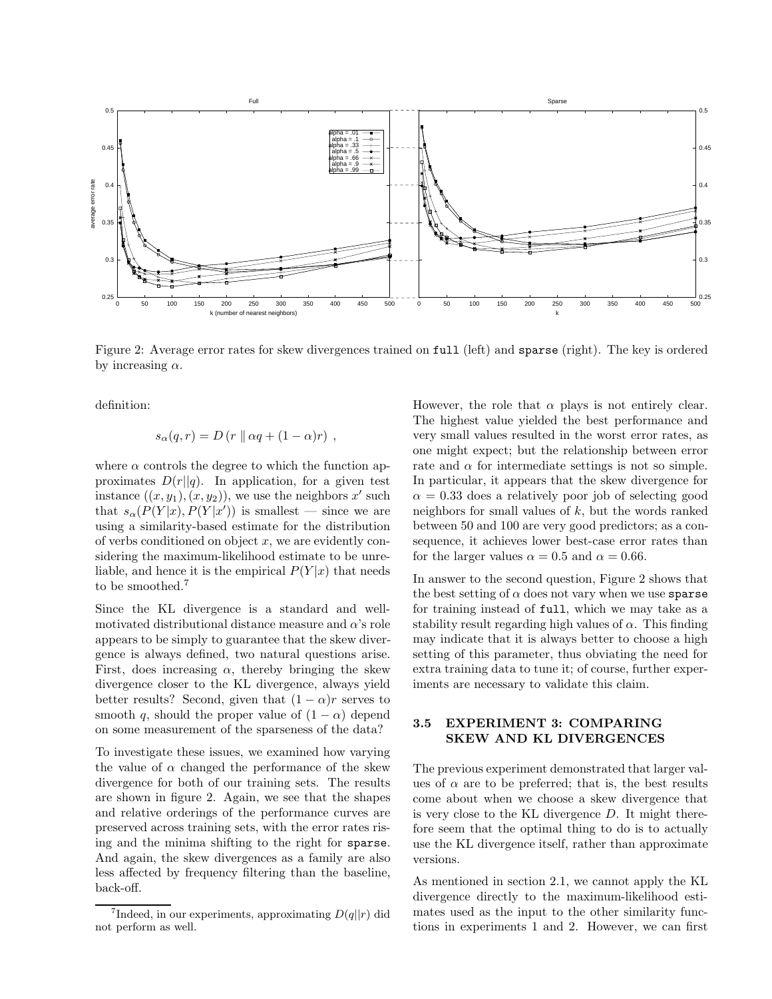

Figure 2: Average error rates for skew divergences trained on full (left) and sparse (right). The key is ordered by increasing  $\alpha$ .

definition:

$$
s_{\alpha}(q,r) = D(r \parallel \alpha q + (1 - \alpha)r),
$$

where  $\alpha$  controls the degree to which the function approximates  $D(r||q)$ . In application, for a given test instance  $((x, y_1), (x, y_2))$ , we use the neighbors x' such that  $s_{\alpha}(P(Y|x), P(Y|x'))$  is smallest — since we are<br>using a similarity-based estimate for the distribution using a similarity-based estimate for the distribution of verbs conditioned on object  $x$ , we are evidently considering the maximum-likelihood estimate to be unreliable, and hence it is the empirical  $P(Y|x)$  that needs to be smoothed.<sup>7</sup>

Since the KL divergence is a standard and wellmotivated distributional distance measure and  $\alpha$ 's role appears to be simply to guarantee that the skew divergence is always defined, two natural questions arise. First, does increasing  $\alpha$ , thereby bringing the skew divergence closer to the KL divergence, always yield better results? Second, given that  $(1 - \alpha)r$  serves to smooth q, should the proper value of  $(1 - \alpha)$  depend on some measurement of the sparseness of the data?

To investigate these issues, we examined how varying the value of  $\alpha$  changed the performance of the skew divergence for both of our training sets. The results are shown in figure 2. Again, we see that the shapes and relative orderings of the performance curves are preserved across training sets, with the error rates rising and the minima shifting to the right for sparse. And again, the skew divergences as a family are also less affected by frequency filtering than the baseline, back-off.

However, the role that  $\alpha$  plays is not entirely clear. The highest value yielded the best performance and very small values resulted in the worst error rates, as one might expect; but the relationship between error rate and  $\alpha$  for intermediate settings is not so simple. In particular, it appears that the skew divergence for  $\alpha = 0.33$  does a relatively poor job of selecting good neighbors for small values of  $k$ , but the words ranked between 50 and 100 are very good predictors; as a consequence, it achieves lower best-case error rates than for the larger values  $\alpha = 0.5$  and  $\alpha = 0.66$ .

In answer to the second question, Figure 2 shows that the best setting of  $\alpha$  does not vary when we use sparse for training instead of full, which we may take as a stability result regarding high values of  $\alpha$ . This finding may indicate that it is always better to choose a high setting of this parameter, thus obviating the need for extra training data to tune it; of course, further experiments are necessary to validate this claim.

## **3.5 EXPERIMENT 3: COMPARING SKEW AND KL DIVERGENCES**

The previous experiment demonstrated that larger values of  $\alpha$  are to be preferred; that is, the best results come about when we choose a skew divergence that is very close to the KL divergence D. It might therefore seem that the optimal thing to do is to actually use the KL divergence itself, rather than approximate versions.

As mentioned in section 2.1, we cannot apply the KL divergence directly to the maximum-likelihood estimates used as the input to the other similarity functions in experiments 1 and 2. However, we can first

Indeed, in our experiments, approximating  $D(q||r)$  did not perform as well.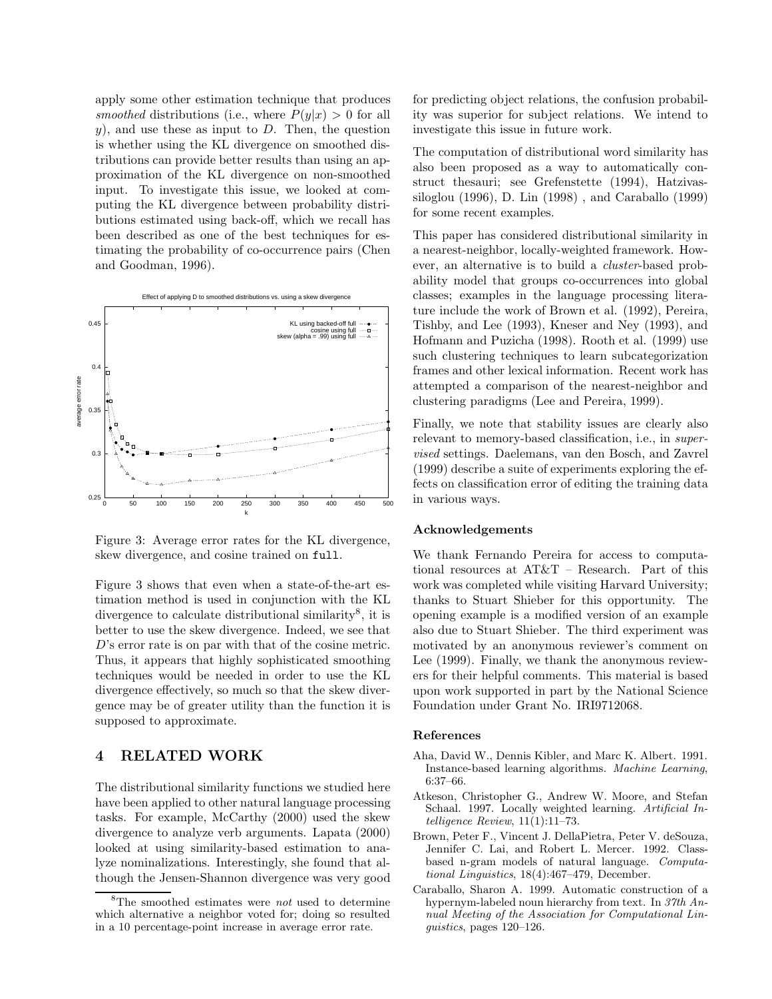apply some other estimation technique that produces *smoothed* distributions (i.e., where  $P(y|x) > 0$  for all  $y$ ), and use these as input to D. Then, the question is whether using the KL divergence on smoothed distributions can provide better results than using an approximation of the KL divergence on non-smoothed input. To investigate this issue, we looked at computing the KL divergence between probability distributions estimated using back-off, which we recall has been described as one of the best techniques for estimating the probability of co-occurrence pairs (Chen and Goodman, 1996).



Figure 3: Average error rates for the KL divergence, skew divergence, and cosine trained on full.

Figure 3 shows that even when a state-of-the-art estimation method is used in conjunction with the KL divergence to calculate distributional similarity<sup>8</sup>, it is better to use the skew divergence. Indeed, we see that D's error rate is on par with that of the cosine metric. Thus, it appears that highly sophisticated smoothing techniques would be needed in order to use the KL divergence effectively, so much so that the skew divergence may be of greater utility than the function it is supposed to approximate.

#### $\boldsymbol{4}$ **4 RELATED WORK**

The distributional similarity functions we studied here have been applied to other natural language processing tasks. For example, McCarthy (2000) used the skew divergence to analyze verb arguments. Lapata (2000) looked at using similarity-based estimation to analyze nominalizations. Interestingly, she found that although the Jensen-Shannon divergence was very good

for predicting object relations, the confusion probability was superior for subject relations. We intend to investigate this issue in future work.

The computation of distributional word similarity has also been proposed as a way to automatically construct thesauri; see Grefenstette (1994), Hatzivassiloglou (1996), D. Lin (1998) , and Caraballo (1999) for some recent examples.

This paper has considered distributional similarity in a nearest-neighbor, locally-weighted framework. However, an alternative is to build a *cluster*-based probability model that groups co-occurrences into global classes; examples in the language processing literature include the work of Brown et al. (1992), Pereira, Tishby, and Lee (1993), Kneser and Ney (1993), and Hofmann and Puzicha (1998). Rooth et al. (1999) use such clustering techniques to learn subcategorization frames and other lexical information. Recent work has attempted a comparison of the nearest-neighbor and clustering paradigms (Lee and Pereira, 1999).

Finally, we note that stability issues are clearly also relevant to memory-based classification, i.e., in *supervised* settings. Daelemans, van den Bosch, and Zavrel (1999) describe a suite of experiments exploring the effects on classification error of editing the training data in various ways.

#### **Acknowledgements**

We thank Fernando Pereira for access to computational resources at AT&T – Research. Part of this work was completed while visiting Harvard University; thanks to Stuart Shieber for this opportunity. The opening example is a modified version of an example also due to Stuart Shieber. The third experiment was motivated by an anonymous reviewer's comment on Lee (1999). Finally, we thank the anonymous reviewers for their helpful comments. This material is based upon work supported in part by the National Science Foundation under Grant No. IRI9712068.

#### **References**

- Aha, David W., Dennis Kibler, and Marc K. Albert. 1991. Instance-based learning algorithms. Machine Learning, 6:37–66.
- Atkeson, Christopher G., Andrew W. Moore, and Stefan Schaal. 1997. Locally weighted learning. Artificial Intelligence Review, 11(1):11–73.
- Brown, Peter F., Vincent J. DellaPietra, Peter V. deSouza, Jennifer C. Lai, and Robert L. Mercer. 1992. Classbased n-gram models of natural language. Computational Linguistics, 18(4):467–479, December.
- Caraballo, Sharon A. 1999. Automatic construction of a hypernym-labeled noun hierarchy from text. In 37th Annual Meeting of the Association for Computational Linguistics, pages 120–126.

 ${}^{8}$ The smoothed estimates were *not* used to determine which alternative a neighbor voted for; doing so resulted in a 10 percentage-point increase in average error rate.